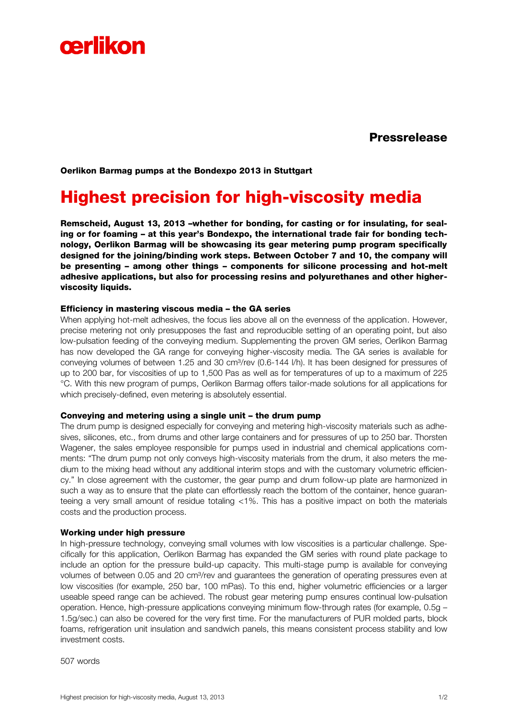

Pressrelease

Oerlikon Barmag pumps at the Bondexpo 2013 in Stuttgart

# Highest precision for high-viscosity media

Remscheid, August 13, 2013 –whether for bonding, for casting or for insulating, for sealing or for foaming – at this year's Bondexpo, the international trade fair for bonding technology, Oerlikon Barmag will be showcasing its gear metering pump program specifically designed for the joining/binding work steps. Between October 7 and 10, the company will be presenting – among other things – components for silicone processing and hot-melt adhesive applications, but also for processing resins and polyurethanes and other higherviscosity liquids.

## Efficiency in mastering viscous media – the GA series

When applying hot-melt adhesives, the focus lies above all on the evenness of the application. However, precise metering not only presupposes the fast and reproducible setting of an operating point, but also low-pulsation feeding of the conveying medium. Supplementing the proven GM series, Oerlikon Barmag has now developed the GA range for conveying higher-viscosity media. The GA series is available for conveying volumes of between 1.25 and 30 cm<sup>3</sup>/rev (0.6-144 l/h). It has been designed for pressures of up to 200 bar, for viscosities of up to 1,500 Pas as well as for temperatures of up to a maximum of 225 °C. With this new program of pumps, Oerlikon Barmag offers tailor-made solutions for all applications for which precisely-defined, even metering is absolutely essential.

## Conveying and metering using a single unit – the drum pump

The drum pump is designed especially for conveying and metering high-viscosity materials such as adhesives, silicones, etc., from drums and other large containers and for pressures of up to 250 bar. Thorsten Wagener, the sales employee responsible for pumps used in industrial and chemical applications comments: "The drum pump not only conveys high-viscosity materials from the drum, it also meters the medium to the mixing head without any additional interim stops and with the customary volumetric efficiency." In close agreement with the customer, the gear pump and drum follow-up plate are harmonized in such a way as to ensure that the plate can effortlessly reach the bottom of the container, hence guaranteeing a very small amount of residue totaling <1%. This has a positive impact on both the materials costs and the production process.

## Working under high pressure

In high-pressure technology, conveying small volumes with low viscosities is a particular challenge. Specifically for this application, Oerlikon Barmag has expanded the GM series with round plate package to include an option for the pressure build-up capacity. This multi-stage pump is available for conveying volumes of between 0.05 and 20 cm<sup>3</sup>/rev and guarantees the generation of operating pressures even at low viscosities (for example, 250 bar, 100 mPas). To this end, higher volumetric efficiencies or a larger useable speed range can be achieved. The robust gear metering pump ensures continual low-pulsation operation. Hence, high-pressure applications conveying minimum flow-through rates (for example, 0.5g – 1.5g/sec.) can also be covered for the very first time. For the manufacturers of PUR molded parts, block foams, refrigeration unit insulation and sandwich panels, this means consistent process stability and low investment costs.

507 words